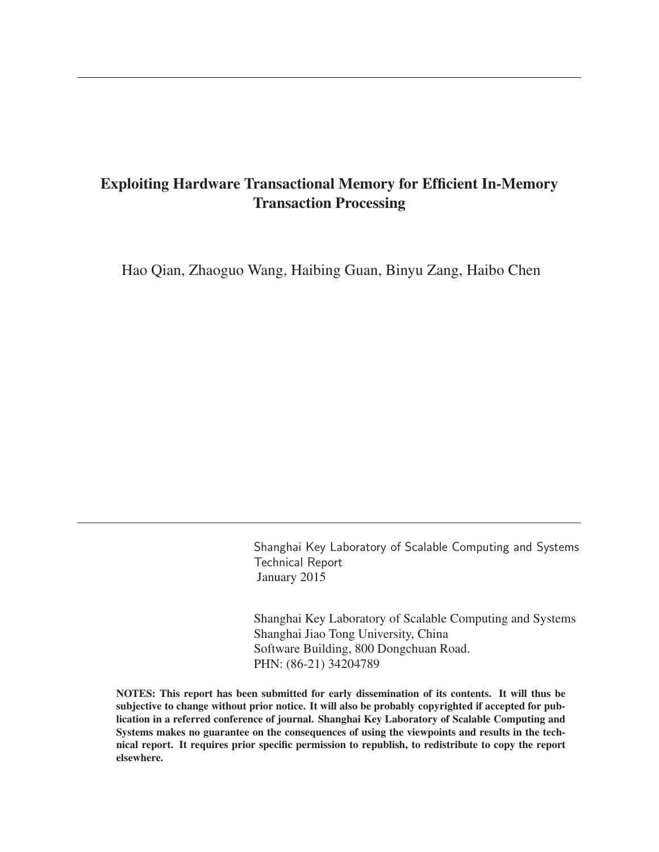# Exploiting Hardware Transactional Memory for Efficient In-Memory Transaction Processing

Hao Qian, Zhaoguo Wang, Haibing Guan, Binyu Zang, Haibo Chen

Shanghai Key Laboratory of Scalable Computing and Systems Technical Report January 2015

Shanghai Key Laboratory of Scalable Computing and Systems Shanghai Jiao Tong University, China Software Building, 800 Dongchuan Road. PHN: (86-21) 34204789

NOTES: This report has been submitted for early dissemination of its contents. It will thus be subjective to change without prior notice. It will also be probably copyrighted if accepted for publication in a referred conference of journal. Shanghai Key Laboratory of Scalable Computing and Systems makes no guarantee on the consequences of using the viewpoints and results in the technical report. It requires prior specific permission to republish, to redistribute to copy the report elsewhere.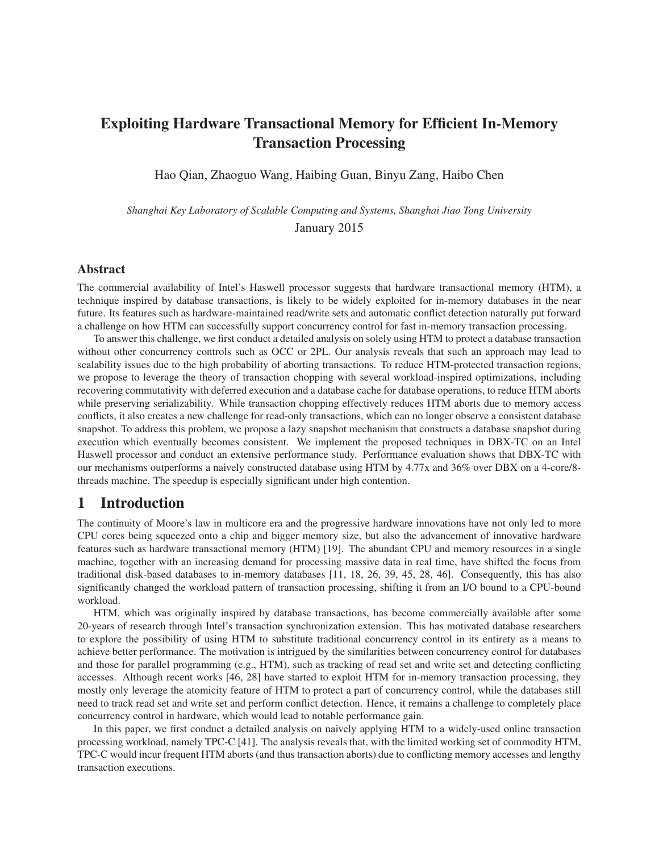# Exploiting Hardware Transactional Memory for Efficient In-Memory Transaction Processing

Hao Qian, Zhaoguo Wang, Haibing Guan, Binyu Zang, Haibo Chen

*Shanghai Key Laboratory of Scalable Computing and Systems, Shanghai Jiao Tong University* January 2015

#### Abstract

The commercial availability of Intel's Haswell processor suggests that hardware transactional memory (HTM), a technique inspired by database transactions, is likely to be widely exploited for in-memory databases in the near future. Its features such as hardware-maintained read/write sets and automatic conflict detection naturally put forward a challenge on how HTM can successfully support concurrency control for fast in-memory transaction processing.

To answer this challenge, we first conduct a detailed analysis on solely using HTM to protect a database transaction without other concurrency controls such as OCC or 2PL. Our analysis reveals that such an approach may lead to scalability issues due to the high probability of aborting transactions. To reduce HTM-protected transaction regions, we propose to leverage the theory of transaction chopping with several workload-inspired optimizations, including recovering commutativity with deferred execution and a database cache for database operations, to reduce HTM aborts while preserving serializability. While transaction chopping effectively reduces HTM aborts due to memory access conflicts, it also creates a new challenge for read-only transactions, which can no longer observe a consistent database snapshot. To address this problem, we propose a lazy snapshot mechanism that constructs a database snapshot during execution which eventually becomes consistent. We implement the proposed techniques in DBX-TC on an Intel Haswell processor and conduct an extensive performance study. Performance evaluation shows that DBX-TC with our mechanisms outperforms a naively constructed database using HTM by 4.77x and 36% over DBX on a 4-core/8 threads machine. The speedup is especially significant under high contention.

# 1 Introduction

The continuity of Moore's law in multicore era and the progressive hardware innovations have not only led to more CPU cores being squeezed onto a chip and bigger memory size, but also the advancement of innovative hardware features such as hardware transactional memory (HTM) [19]. The abundant CPU and memory resources in a single machine, together with an increasing demand for processing massive data in real time, have shifted the focus from traditional disk-based databases to in-memory databases [11, 18, 26, 39, 45, 28, 46]. Consequently, this has also significantly changed the workload pattern of transaction processing, shifting it from an I/O bound to a CPU-bound workload.

HTM, which was originally inspired by database transactions, has become commercially available after some 20-years of research through Intel's transaction synchronization extension. This has motivated database researchers to explore the possibility of using HTM to substitute traditional concurrency control in its entirety as a means to achieve better performance. The motivation is intrigued by the similarities between concurrency control for databases and those for parallel programming (e.g., HTM), such as tracking of read set and write set and detecting conflicting accesses. Although recent works [46, 28] have started to exploit HTM for in-memory transaction processing, they mostly only leverage the atomicity feature of HTM to protect a part of concurrency control, while the databases still need to track read set and write set and perform conflict detection. Hence, it remains a challenge to completely place concurrency control in hardware, which would lead to notable performance gain.

In this paper, we first conduct a detailed analysis on naively applying HTM to a widely-used online transaction processing workload, namely TPC-C [41]. The analysis reveals that, with the limited working set of commodity HTM, TPC-C would incur frequent HTM aborts (and thus transaction aborts) due to conflicting memory accesses and lengthy transaction executions.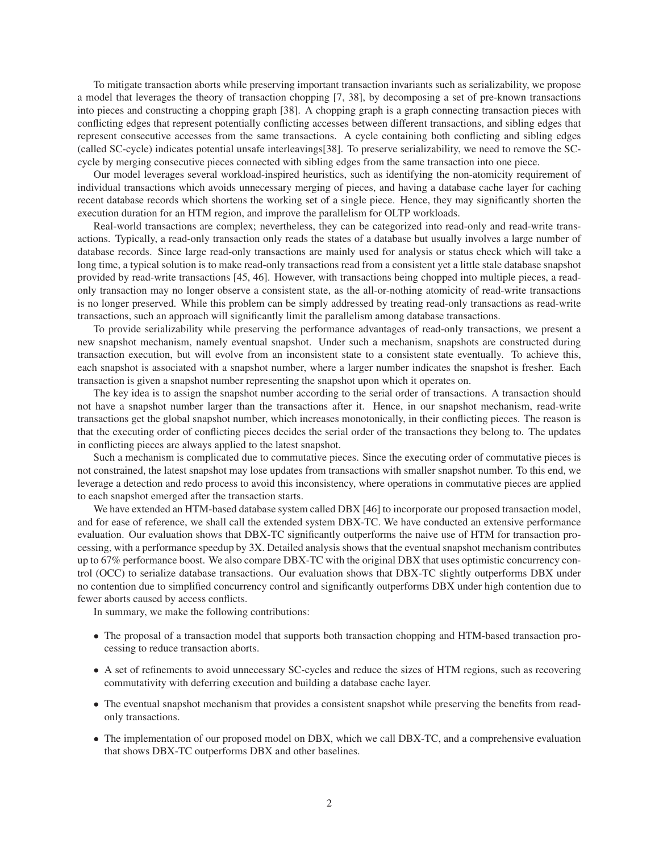To mitigate transaction aborts while preserving important transaction invariants such as serializability, we propose a model that leverages the theory of transaction chopping [7, 38], by decomposing a set of pre-known transactions into pieces and constructing a chopping graph [38]. A chopping graph is a graph connecting transaction pieces with conflicting edges that represent potentially conflicting accesses between different transactions, and sibling edges that represent consecutive accesses from the same transactions. A cycle containing both conflicting and sibling edges (called SC-cycle) indicates potential unsafe interleavings[38]. To preserve serializability, we need to remove the SCcycle by merging consecutive pieces connected with sibling edges from the same transaction into one piece.

Our model leverages several workload-inspired heuristics, such as identifying the non-atomicity requirement of individual transactions which avoids unnecessary merging of pieces, and having a database cache layer for caching recent database records which shortens the working set of a single piece. Hence, they may significantly shorten the execution duration for an HTM region, and improve the parallelism for OLTP workloads.

Real-world transactions are complex; nevertheless, they can be categorized into read-only and read-write transactions. Typically, a read-only transaction only reads the states of a database but usually involves a large number of database records. Since large read-only transactions are mainly used for analysis or status check which will take a long time, a typical solution is to make read-only transactions read from a consistent yet a little stale database snapshot provided by read-write transactions [45, 46]. However, with transactions being chopped into multiple pieces, a readonly transaction may no longer observe a consistent state, as the all-or-nothing atomicity of read-write transactions is no longer preserved. While this problem can be simply addressed by treating read-only transactions as read-write transactions, such an approach will significantly limit the parallelism among database transactions.

To provide serializability while preserving the performance advantages of read-only transactions, we present a new snapshot mechanism, namely eventual snapshot. Under such a mechanism, snapshots are constructed during transaction execution, but will evolve from an inconsistent state to a consistent state eventually. To achieve this, each snapshot is associated with a snapshot number, where a larger number indicates the snapshot is fresher. Each transaction is given a snapshot number representing the snapshot upon which it operates on.

The key idea is to assign the snapshot number according to the serial order of transactions. A transaction should not have a snapshot number larger than the transactions after it. Hence, in our snapshot mechanism, read-write transactions get the global snapshot number, which increases monotonically, in their conflicting pieces. The reason is that the executing order of conflicting pieces decides the serial order of the transactions they belong to. The updates in conflicting pieces are always applied to the latest snapshot.

Such a mechanism is complicated due to commutative pieces. Since the executing order of commutative pieces is not constrained, the latest snapshot may lose updates from transactions with smaller snapshot number. To this end, we leverage a detection and redo process to avoid this inconsistency, where operations in commutative pieces are applied to each snapshot emerged after the transaction starts.

We have extended an HTM-based database system called DBX [46] to incorporate our proposed transaction model, and for ease of reference, we shall call the extended system DBX-TC. We have conducted an extensive performance evaluation. Our evaluation shows that DBX-TC significantly outperforms the naive use of HTM for transaction processing, with a performance speedup by 3X. Detailed analysis shows that the eventual snapshot mechanism contributes up to 67% performance boost. We also compare DBX-TC with the original DBX that uses optimistic concurrency control (OCC) to serialize database transactions. Our evaluation shows that DBX-TC slightly outperforms DBX under no contention due to simplified concurrency control and significantly outperforms DBX under high contention due to fewer aborts caused by access conflicts.

In summary, we make the following contributions:

- The proposal of a transaction model that supports both transaction chopping and HTM-based transaction processing to reduce transaction aborts.
- A set of refinements to avoid unnecessary SC-cycles and reduce the sizes of HTM regions, such as recovering commutativity with deferring execution and building a database cache layer.
- The eventual snapshot mechanism that provides a consistent snapshot while preserving the benefits from readonly transactions.
- The implementation of our proposed model on DBX, which we call DBX-TC, and a comprehensive evaluation that shows DBX-TC outperforms DBX and other baselines.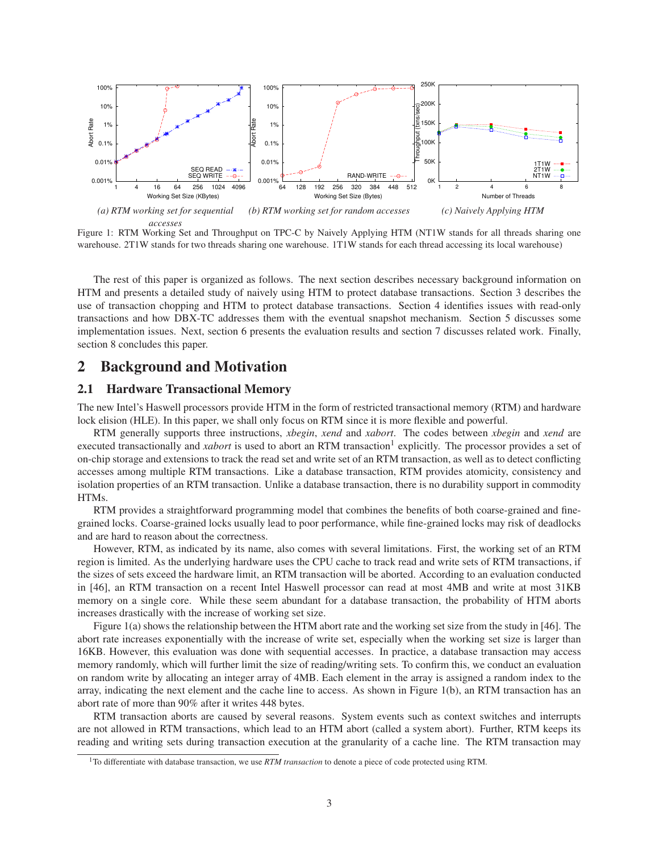

Figure 1: RTM Working Set and Throughput on TPC-C by Naively Applying HTM (NT1W stands for all threads sharing one warehouse. 2T1W stands for two threads sharing one warehouse. 1T1W stands for each thread accessing its local warehouse)

The rest of this paper is organized as follows. The next section describes necessary background information on HTM and presents a detailed study of naively using HTM to protect database transactions. Section 3 describes the use of transaction chopping and HTM to protect database transactions. Section 4 identifies issues with read-only transactions and how DBX-TC addresses them with the eventual snapshot mechanism. Section 5 discusses some implementation issues. Next, section 6 presents the evaluation results and section 7 discusses related work. Finally, section 8 concludes this paper.

### 2 Background and Motivation

#### 2.1 Hardware Transactional Memory

The new Intel's Haswell processors provide HTM in the form of restricted transactional memory (RTM) and hardware lock elision (HLE). In this paper, we shall only focus on RTM since it is more flexible and powerful.

RTM generally supports three instructions, *xbegin*, *xend* and *xabort*. The codes between *xbegin* and *xend* are executed transactionally and *xabort* is used to abort an RTM transaction<sup>1</sup> explicitly. The processor provides a set of on-chip storage and extensions to track the read set and write set of an RTM transaction, as well as to detect conflicting accesses among multiple RTM transactions. Like a database transaction, RTM provides atomicity, consistency and isolation properties of an RTM transaction. Unlike a database transaction, there is no durability support in commodity HTMs.

RTM provides a straightforward programming model that combines the benefits of both coarse-grained and finegrained locks. Coarse-grained locks usually lead to poor performance, while fine-grained locks may risk of deadlocks and are hard to reason about the correctness.

However, RTM, as indicated by its name, also comes with several limitations. First, the working set of an RTM region is limited. As the underlying hardware uses the CPU cache to track read and write sets of RTM transactions, if the sizes of sets exceed the hardware limit, an RTM transaction will be aborted. According to an evaluation conducted in [46], an RTM transaction on a recent Intel Haswell processor can read at most 4MB and write at most 31KB memory on a single core. While these seem abundant for a database transaction, the probability of HTM aborts increases drastically with the increase of working set size.

Figure 1(a) shows the relationship between the HTM abort rate and the working set size from the study in [46]. The abort rate increases exponentially with the increase of write set, especially when the working set size is larger than 16KB. However, this evaluation was done with sequential accesses. In practice, a database transaction may access memory randomly, which will further limit the size of reading/writing sets. To confirm this, we conduct an evaluation on random write by allocating an integer array of 4MB. Each element in the array is assigned a random index to the array, indicating the next element and the cache line to access. As shown in Figure 1(b), an RTM transaction has an abort rate of more than 90% after it writes 448 bytes.

RTM transaction aborts are caused by several reasons. System events such as context switches and interrupts are not allowed in RTM transactions, which lead to an HTM abort (called a system abort). Further, RTM keeps its reading and writing sets during transaction execution at the granularity of a cache line. The RTM transaction may

<sup>1</sup>To differentiate with database transaction, we use *RTM transaction* to denote a piece of code protected using RTM.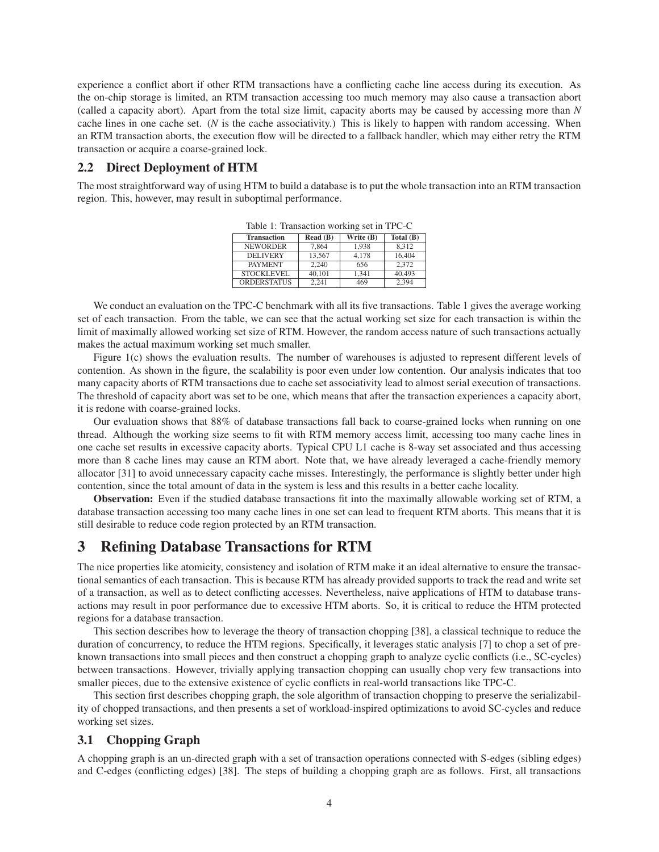experience a conflict abort if other RTM transactions have a conflicting cache line access during its execution. As the on-chip storage is limited, an RTM transaction accessing too much memory may also cause a transaction abort (called a capacity abort). Apart from the total size limit, capacity aborts may be caused by accessing more than *N* cache lines in one cache set. (*N* is the cache associativity.) This is likely to happen with random accessing. When an RTM transaction aborts, the execution flow will be directed to a fallback handler, which may either retry the RTM transaction or acquire a coarse-grained lock.

#### 2.2 Direct Deployment of HTM

The most straightforward way of using HTM to build a database is to put the whole transaction into an RTM transaction region. This, however, may result in suboptimal performance.

| <b>Transaction</b> | Read(B) | Write (B) | Total $(B)$ |
|--------------------|---------|-----------|-------------|
| <b>NEWORDER</b>    | 7.864   | 1.938     | 8.312       |
| <b>DELIVERY</b>    | 13.567  | 4.178     | 16.404      |
| <b>PAYMENT</b>     | 2.240   | 656       | 2.372       |
| STOCKLEVEL         | 40.101  | 1.341     | 40,493      |
| <b>ORDERSTATUS</b> | 2.241   | 469       | 2.394       |

Table 1: Transaction working set in TPC-C

We conduct an evaluation on the TPC-C benchmark with all its five transactions. Table 1 gives the average working set of each transaction. From the table, we can see that the actual working set size for each transaction is within the limit of maximally allowed working set size of RTM. However, the random access nature of such transactions actually makes the actual maximum working set much smaller.

Figure 1(c) shows the evaluation results. The number of warehouses is adjusted to represent different levels of contention. As shown in the figure, the scalability is poor even under low contention. Our analysis indicates that too many capacity aborts of RTM transactions due to cache set associativity lead to almost serial execution of transactions. The threshold of capacity abort was set to be one, which means that after the transaction experiences a capacity abort, it is redone with coarse-grained locks.

Our evaluation shows that 88% of database transactions fall back to coarse-grained locks when running on one thread. Although the working size seems to fit with RTM memory access limit, accessing too many cache lines in one cache set results in excessive capacity aborts. Typical CPU L1 cache is 8-way set associated and thus accessing more than 8 cache lines may cause an RTM abort. Note that, we have already leveraged a cache-friendly memory allocator [31] to avoid unnecessary capacity cache misses. Interestingly, the performance is slightly better under high contention, since the total amount of data in the system is less and this results in a better cache locality.

Observation: Even if the studied database transactions fit into the maximally allowable working set of RTM, a database transaction accessing too many cache lines in one set can lead to frequent RTM aborts. This means that it is still desirable to reduce code region protected by an RTM transaction.

## 3 Refining Database Transactions for RTM

The nice properties like atomicity, consistency and isolation of RTM make it an ideal alternative to ensure the transactional semantics of each transaction. This is because RTM has already provided supports to track the read and write set of a transaction, as well as to detect conflicting accesses. Nevertheless, naive applications of HTM to database transactions may result in poor performance due to excessive HTM aborts. So, it is critical to reduce the HTM protected regions for a database transaction.

This section describes how to leverage the theory of transaction chopping [38], a classical technique to reduce the duration of concurrency, to reduce the HTM regions. Specifically, it leverages static analysis [7] to chop a set of preknown transactions into small pieces and then construct a chopping graph to analyze cyclic conflicts (i.e., SC-cycles) between transactions. However, trivially applying transaction chopping can usually chop very few transactions into smaller pieces, due to the extensive existence of cyclic conflicts in real-world transactions like TPC-C.

This section first describes chopping graph, the sole algorithm of transaction chopping to preserve the serializability of chopped transactions, and then presents a set of workload-inspired optimizations to avoid SC-cycles and reduce working set sizes.

#### 3.1 Chopping Graph

A chopping graph is an un-directed graph with a set of transaction operations connected with S-edges (sibling edges) and C-edges (conflicting edges) [38]. The steps of building a chopping graph are as follows. First, all transactions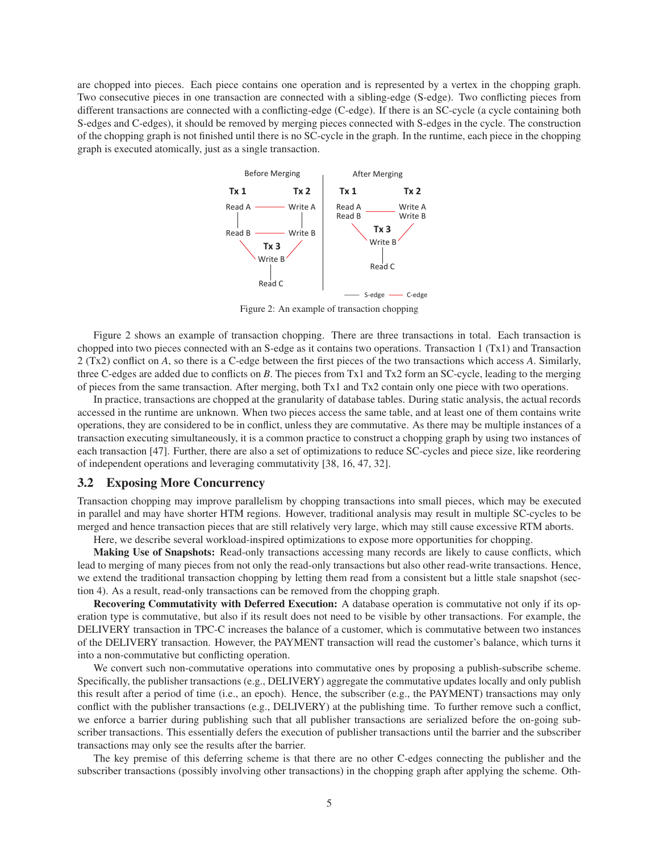are chopped into pieces. Each piece contains one operation and is represented by a vertex in the chopping graph. Two consecutive pieces in one transaction are connected with a sibling-edge (S-edge). Two conflicting pieces from different transactions are connected with a conflicting-edge (C-edge). If there is an SC-cycle (a cycle containing both S-edges and C-edges), it should be removed by merging pieces connected with S-edges in the cycle. The construction of the chopping graph is not finished until there is no SC-cycle in the graph. In the runtime, each piece in the chopping graph is executed atomically, just as a single transaction.



Figure 2: An example of transaction chopping

Figure 2 shows an example of transaction chopping. There are three transactions in total. Each transaction is chopped into two pieces connected with an S-edge as it contains two operations. Transaction 1 (Tx1) and Transaction 2 (Tx2) conflict on *A*, so there is a C-edge between the first pieces of the two transactions which access *A*. Similarly, three C-edges are added due to conflicts on *B*. The pieces from Tx1 and Tx2 form an SC-cycle, leading to the merging of pieces from the same transaction. After merging, both Tx1 and Tx2 contain only one piece with two operations.

In practice, transactions are chopped at the granularity of database tables. During static analysis, the actual records accessed in the runtime are unknown. When two pieces access the same table, and at least one of them contains write operations, they are considered to be in conflict, unless they are commutative. As there may be multiple instances of a transaction executing simultaneously, it is a common practice to construct a chopping graph by using two instances of each transaction [47]. Further, there are also a set of optimizations to reduce SC-cycles and piece size, like reordering of independent operations and leveraging commutativity [38, 16, 47, 32].

#### 3.2 Exposing More Concurrency

Transaction chopping may improve parallelism by chopping transactions into small pieces, which may be executed in parallel and may have shorter HTM regions. However, traditional analysis may result in multiple SC-cycles to be merged and hence transaction pieces that are still relatively very large, which may still cause excessive RTM aborts.

Here, we describe several workload-inspired optimizations to expose more opportunities for chopping.

Making Use of Snapshots: Read-only transactions accessing many records are likely to cause conflicts, which lead to merging of many pieces from not only the read-only transactions but also other read-write transactions. Hence, we extend the traditional transaction chopping by letting them read from a consistent but a little stale snapshot (section 4). As a result, read-only transactions can be removed from the chopping graph.

Recovering Commutativity with Deferred Execution: A database operation is commutative not only if its operation type is commutative, but also if its result does not need to be visible by other transactions. For example, the DELIVERY transaction in TPC-C increases the balance of a customer, which is commutative between two instances of the DELIVERY transaction. However, the PAYMENT transaction will read the customer's balance, which turns it into a non-commutative but conflicting operation.

We convert such non-commutative operations into commutative ones by proposing a publish-subscribe scheme. Specifically, the publisher transactions (e.g., DELIVERY) aggregate the commutative updates locally and only publish this result after a period of time (i.e., an epoch). Hence, the subscriber (e.g., the PAYMENT) transactions may only conflict with the publisher transactions (e.g., DELIVERY) at the publishing time. To further remove such a conflict, we enforce a barrier during publishing such that all publisher transactions are serialized before the on-going subscriber transactions. This essentially defers the execution of publisher transactions until the barrier and the subscriber transactions may only see the results after the barrier.

The key premise of this deferring scheme is that there are no other C-edges connecting the publisher and the subscriber transactions (possibly involving other transactions) in the chopping graph after applying the scheme. Oth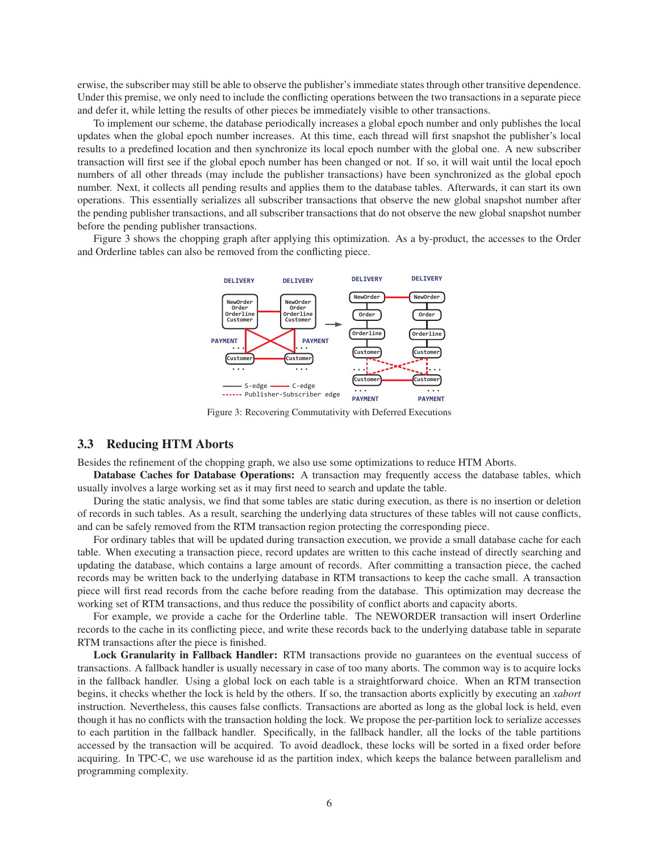erwise, the subscriber may still be able to observe the publisher's immediate states through other transitive dependence. Under this premise, we only need to include the conflicting operations between the two transactions in a separate piece and defer it, while letting the results of other pieces be immediately visible to other transactions.

To implement our scheme, the database periodically increases a global epoch number and only publishes the local updates when the global epoch number increases. At this time, each thread will first snapshot the publisher's local results to a predefined location and then synchronize its local epoch number with the global one. A new subscriber transaction will first see if the global epoch number has been changed or not. If so, it will wait until the local epoch numbers of all other threads (may include the publisher transactions) have been synchronized as the global epoch number. Next, it collects all pending results and applies them to the database tables. Afterwards, it can start its own operations. This essentially serializes all subscriber transactions that observe the new global snapshot number after the pending publisher transactions, and all subscriber transactions that do not observe the new global snapshot number before the pending publisher transactions.

Figure 3 shows the chopping graph after applying this optimization. As a by-product, the accesses to the Order and Orderline tables can also be removed from the conflicting piece.



Figure 3: Recovering Commutativity with Deferred Executions

#### 3.3 Reducing HTM Aborts

Besides the refinement of the chopping graph, we also use some optimizations to reduce HTM Aborts.

Database Caches for Database Operations: A transaction may frequently access the database tables, which usually involves a large working set as it may first need to search and update the table.

During the static analysis, we find that some tables are static during execution, as there is no insertion or deletion of records in such tables. As a result, searching the underlying data structures of these tables will not cause conflicts, and can be safely removed from the RTM transaction region protecting the corresponding piece.

For ordinary tables that will be updated during transaction execution, we provide a small database cache for each table. When executing a transaction piece, record updates are written to this cache instead of directly searching and updating the database, which contains a large amount of records. After committing a transaction piece, the cached records may be written back to the underlying database in RTM transactions to keep the cache small. A transaction piece will first read records from the cache before reading from the database. This optimization may decrease the working set of RTM transactions, and thus reduce the possibility of conflict aborts and capacity aborts.

For example, we provide a cache for the Orderline table. The NEWORDER transaction will insert Orderline records to the cache in its conflicting piece, and write these records back to the underlying database table in separate RTM transactions after the piece is finished.

Lock Granularity in Fallback Handler: RTM transactions provide no guarantees on the eventual success of transactions. A fallback handler is usually necessary in case of too many aborts. The common way is to acquire locks in the fallback handler. Using a global lock on each table is a straightforward choice. When an RTM transection begins, it checks whether the lock is held by the others. If so, the transaction aborts explicitly by executing an *xabort* instruction. Nevertheless, this causes false conflicts. Transactions are aborted as long as the global lock is held, even though it has no conflicts with the transaction holding the lock. We propose the per-partition lock to serialize accesses to each partition in the fallback handler. Specifically, in the fallback handler, all the locks of the table partitions accessed by the transaction will be acquired. To avoid deadlock, these locks will be sorted in a fixed order before acquiring. In TPC-C, we use warehouse id as the partition index, which keeps the balance between parallelism and programming complexity.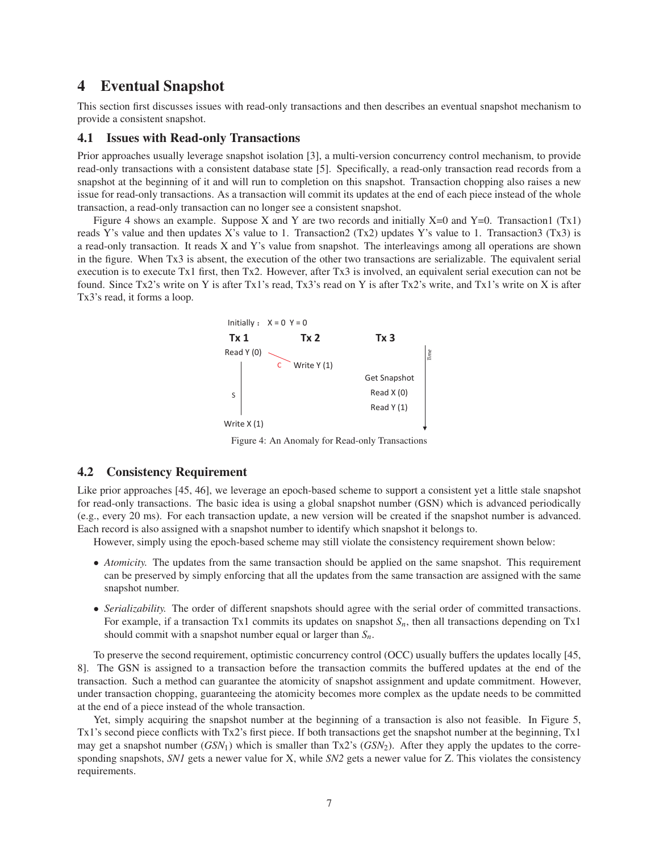# 4 Eventual Snapshot

This section first discusses issues with read-only transactions and then describes an eventual snapshot mechanism to provide a consistent snapshot.

#### 4.1 Issues with Read-only Transactions

Prior approaches usually leverage snapshot isolation [3], a multi-version concurrency control mechanism, to provide read-only transactions with a consistent database state [5]. Specifically, a read-only transaction read records from a snapshot at the beginning of it and will run to completion on this snapshot. Transaction chopping also raises a new issue for read-only transactions. As a transaction will commit its updates at the end of each piece instead of the whole transaction, a read-only transaction can no longer see a consistent snapshot.

Figure 4 shows an example. Suppose X and Y are two records and initially  $X=0$  and  $Y=0$ . Transaction1 (Tx1) reads Y's value and then updates X's value to 1. Transaction2 (Tx2) updates Y's value to 1. Transaction3 (Tx3) is a read-only transaction. It reads X and Y's value from snapshot. The interleavings among all operations are shown in the figure. When Tx3 is absent, the execution of the other two transactions are serializable. The equivalent serial execution is to execute Tx1 first, then Tx2. However, after Tx3 is involved, an equivalent serial execution can not be found. Since Tx2's write on Y is after Tx1's read, Tx3's read on Y is after Tx2's write, and Tx1's write on X is after Tx3's read, it forms a loop.



Figure 4: An Anomaly for Read-only Transactions

#### 4.2 Consistency Requirement

Like prior approaches [45, 46], we leverage an epoch-based scheme to support a consistent yet a little stale snapshot for read-only transactions. The basic idea is using a global snapshot number (GSN) which is advanced periodically (e.g., every 20 ms). For each transaction update, a new version will be created if the snapshot number is advanced. Each record is also assigned with a snapshot number to identify which snapshot it belongs to.

However, simply using the epoch-based scheme may still violate the consistency requirement shown below:

- *Atomicity*. The updates from the same transaction should be applied on the same snapshot. This requirement can be preserved by simply enforcing that all the updates from the same transaction are assigned with the same snapshot number.
- *Serializability.* The order of different snapshots should agree with the serial order of committed transactions. For example, if a transaction Tx1 commits its updates on snapshot *Sn*, then all transactions depending on Tx1 should commit with a snapshot number equal or larger than *Sn*.

To preserve the second requirement, optimistic concurrency control (OCC) usually buffers the updates locally [45, 8]. The GSN is assigned to a transaction before the transaction commits the buffered updates at the end of the transaction. Such a method can guarantee the atomicity of snapshot assignment and update commitment. However, under transaction chopping, guaranteeing the atomicity becomes more complex as the update needs to be committed at the end of a piece instead of the whole transaction.

Yet, simply acquiring the snapshot number at the beginning of a transaction is also not feasible. In Figure 5, Tx1's second piece conflicts with Tx2's first piece. If both transactions get the snapshot number at the beginning, Tx1 may get a snapshot number (*GSN*1) which is smaller than Tx2's (*GSN*2). After they apply the updates to the corresponding snapshots, *SN1* gets a newer value for X, while *SN2* gets a newer value for Z. This violates the consistency requirements.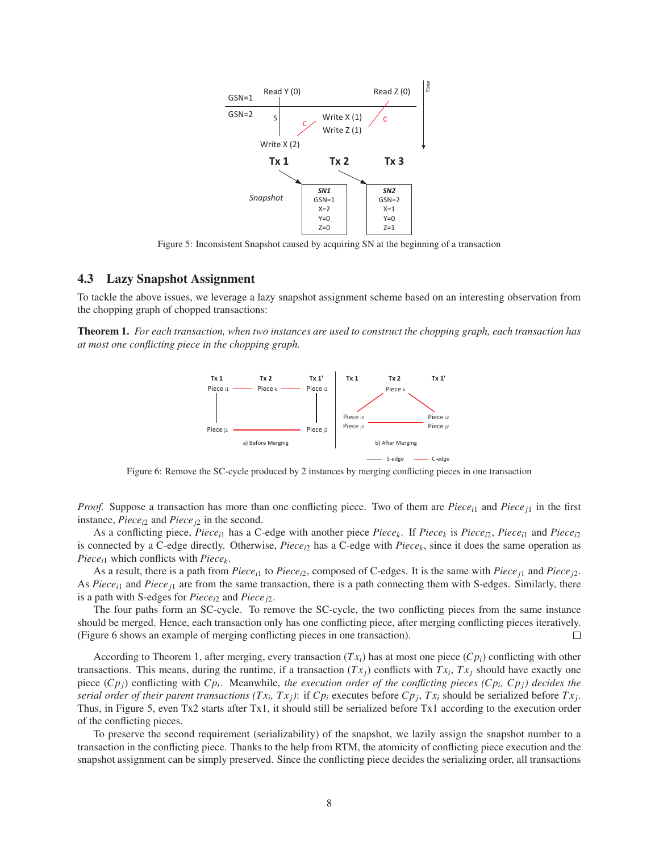

Figure 5: Inconsistent Snapshot caused by acquiring SN at the beginning of a transaction

#### 4.3 Lazy Snapshot Assignment

To tackle the above issues, we leverage a lazy snapshot assignment scheme based on an interesting observation from the chopping graph of chopped transactions:

Theorem 1. *For each transaction, when two instances are used to construct the chopping graph, each transaction has at most one conflicting piece in the chopping graph.*



Figure 6: Remove the SC-cycle produced by 2 instances by merging conflicting pieces in one transaction

*Proof.* Suppose a transaction has more than one conflicting piece. Two of them are *Piecei*<sup>1</sup> and *Piecej*<sup>1</sup> in the first instance, *Piecei*<sup>2</sup> and *Piecej*<sup>2</sup> in the second.

As a conflicting piece, *Piece*<sub>*i*1</sub> has a C-edge with another piece *Piece<sub>k</sub>*. If *Piece<sub>k</sub>* is *Piece<sub>i2</sub>*, *Piece<sub>i1</sub>* and *Piece<sub>R</sub>* is connected by a C-edge directly. Otherwise, *Piece<sub>i</sub>* has a C-edge with  $Piece_{k}$ , since it does the same operation as *Piecei*<sup>1</sup> which conflicts with *Piecek*.

As a result, there is a path from *Piecei*<sup>1</sup> to *Piecei*2, composed of C-edges. It is the same with *Piecej*<sup>1</sup> and *Piecej*2. As *Piece*<sub>i1</sub> and *Piece*<sub>i1</sub> are from the same transaction, there is a path connecting them with S-edges. Similarly, there is a path with S-edges for *Piecei*<sup>2</sup> and *Piecej*2.

The four paths form an SC-cycle. To remove the SC-cycle, the two conflicting pieces from the same instance should be merged. Hence, each transaction only has one conflicting piece, after merging conflicting pieces iteratively. (Figure 6 shows an example of merging conflicting pieces in one transaction). П

According to Theorem 1, after merging, every transaction  $(Tx_i)$  has at most one piece  $(Cp_i)$  conflicting with other transactions. This means, during the runtime, if a transaction  $(Tx_j)$  conflicts with  $Tx_i$ ,  $Tx_j$  should have exactly one piece (*Cpj*) conflicting with *Cp<sup>i</sup>* . Meanwhile, *the execution order of the conflicting pieces (Cp<sup>i</sup> , Cpj) decides the serial order of their parent transactions*  $(Tx_i, Tx_j)$ *: if*  $Cp_i$  *executes before*  $Cp_j, Tx_i$  *should be serialized before*  $Tx_j$ *.* Thus, in Figure 5, even Tx2 starts after Tx1, it should still be serialized before Tx1 according to the execution order of the conflicting pieces.

To preserve the second requirement (serializability) of the snapshot, we lazily assign the snapshot number to a transaction in the conflicting piece. Thanks to the help from RTM, the atomicity of conflicting piece execution and the snapshot assignment can be simply preserved. Since the conflicting piece decides the serializing order, all transactions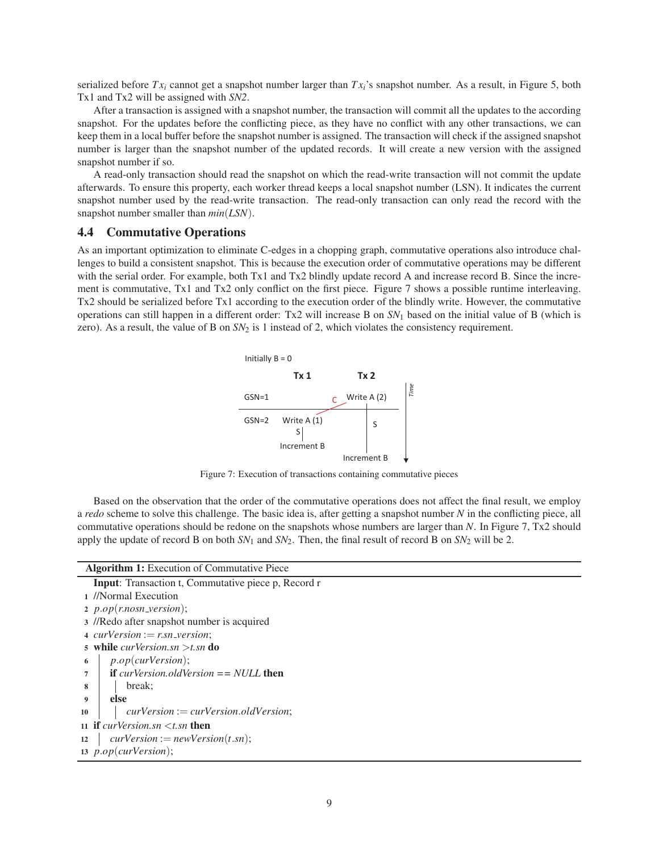serialized before  $Tx_i$  cannot get a snapshot number larger than  $Tx_i$ 's snapshot number. As a result, in Figure 5, both Tx1 and Tx2 will be assigned with *SN2*.

After a transaction is assigned with a snapshot number, the transaction will commit all the updates to the according snapshot. For the updates before the conflicting piece, as they have no conflict with any other transactions, we can keep them in a local buffer before the snapshot number is assigned. The transaction will check if the assigned snapshot number is larger than the snapshot number of the updated records. It will create a new version with the assigned snapshot number if so.

A read-only transaction should read the snapshot on which the read-write transaction will not commit the update afterwards. To ensure this property, each worker thread keeps a local snapshot number (LSN). It indicates the current snapshot number used by the read-write transaction. The read-only transaction can only read the record with the snapshot number smaller than *min*(*LSN*).

#### 4.4 Commutative Operations

As an important optimization to eliminate C-edges in a chopping graph, commutative operations also introduce challenges to build a consistent snapshot. This is because the execution order of commutative operations may be different with the serial order. For example, both Tx1 and Tx2 blindly update record A and increase record B. Since the increment is commutative, Tx1 and Tx2 only conflict on the first piece. Figure 7 shows a possible runtime interleaving. Tx2 should be serialized before Tx1 according to the execution order of the blindly write. However, the commutative operations can still happen in a different order: Tx2 will increase B on *SN*<sup>1</sup> based on the initial value of B (which is zero). As a result, the value of B on *SN*<sub>2</sub> is 1 instead of 2, which violates the consistency requirement.



Figure 7: Execution of transactions containing commutative pieces

Based on the observation that the order of the commutative operations does not affect the final result, we employ a *redo* scheme to solve this challenge. The basic idea is, after getting a snapshot number *N* in the conflicting piece, all commutative operations should be redone on the snapshots whose numbers are larger than *N*. In Figure 7, Tx2 should apply the update of record B on both  $SN_1$  and  $SN_2$ . Then, the final result of record B on  $SN_2$  will be 2.

| <b>Algorithm 1:</b> Execution of Commutative Piece                      |  |  |
|-------------------------------------------------------------------------|--|--|
| <b>Input:</b> Transaction t, Commutative piece p, Record r              |  |  |
| 1 //Normal Execution                                                    |  |  |
| 2 $p.open(r.nosn-version);$                                             |  |  |
| 3 //Redo after snapshot number is acquired                              |  |  |
| 4 $curVersion := r.sn\_version$ ;                                       |  |  |
| 5 while <i>curVersion.sn</i> > <i>t.sn</i> do                           |  |  |
| p. op(curVersion);<br>6                                                 |  |  |
| <b>if</b> curVersion.oldVersion $==$ NULL <b>then</b><br>$\overline{7}$ |  |  |
| break;<br>8                                                             |  |  |
| else<br>9                                                               |  |  |
| $curVersion := curVersion. oldVersion;$<br>10                           |  |  |
| 11 if curVersion.sn $\lt t$ .sn then                                    |  |  |
| $curVersion := newVersion(t.sh);$<br>12                                 |  |  |
| 13 $p.open(curVersion);$                                                |  |  |
|                                                                         |  |  |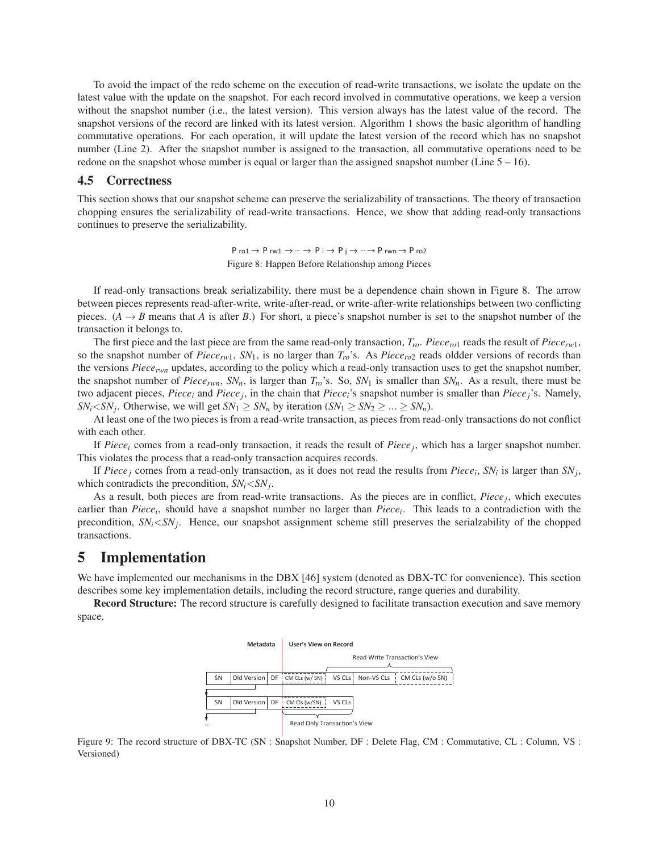To avoid the impact of the redo scheme on the execution of read-write transactions, we isolate the update on the latest value with the update on the snapshot. For each record involved in commutative operations, we keep a version without the snapshot number (i.e., the latest version). This version always has the latest value of the record. The snapshot versions of the record are linked with its latest version. Algorithm 1 shows the basic algorithm of handling commutative operations. For each operation, it will update the latest version of the record which has no snapshot number (Line 2). After the snapshot number is assigned to the transaction, all commutative operations need to be redone on the snapshot whose number is equal or larger than the assigned snapshot number (Line 5 – 16).

#### 4.5 Correctness

This section shows that our snapshot scheme can preserve the serializability of transactions. The theory of transaction chopping ensures the serializability of read-write transactions. Hence, we show that adding read-only transactions continues to preserve the serializability.

> $P$  ro1  $\rightarrow$  P rw1  $\rightarrow$   $\cdots$   $\rightarrow$  P i  $\rightarrow$  P i  $\rightarrow$   $\cdots$   $\rightarrow$  P rwn  $\rightarrow$  P ro2 Figure 8: Happen Before Relationship among Pieces

If read-only transactions break serializability, there must be a dependence chain shown in Figure 8. The arrow between pieces represents read-after-write, write-after-read, or write-after-write relationships between two conflicting pieces.  $(A \rightarrow B$  means that *A* is after *B*.) For short, a piece's snapshot number is set to the snapshot number of the transaction it belongs to.

The first piece and the last piece are from the same read-only transaction, *Tro*. *Piecero*<sup>1</sup> reads the result of *Piecerw*1, so the snapshot number of *Piece<sub>rw1</sub>*,  $SN_1$ , is no larger than  $T_{r_0}$ 's. As *Piece<sub>ro2</sub>* reads oldder versions of records than the versions *Piecerwn* updates, according to the policy which a read-only transaction uses to get the snapshot number, the snapshot number of *Piece<sub>rwn</sub>*,  $SN_n$ , is larger than  $T_{r_0}$ 's. So,  $SN_1$  is smaller than  $SN_n$ . As a result, there must be two adjacent pieces, *Piece<sup>i</sup>* and *Piece<sup>j</sup>* , in the chain that *Piecei*'s snapshot number is smaller than *Piecej*'s. Namely, *SN*<sup>*i*</sup><*SN*<sup>*j*</sup>. Otherwise, we will get *SN*<sup>1</sup> ≥ *SN*<sup>*n*</sup> by iteration (*SN*<sup>1</sup> ≥ *SN*<sup>2</sup> ≥ ... ≥ *SN*<sup>*n*</sup>).

At least one of the two pieces is from a read-write transaction, as pieces from read-only transactions do not conflict with each other.

If *Piece<sup>i</sup>* comes from a read-only transaction, it reads the result of *Piece<sup>j</sup>* , which has a larger snapshot number. This violates the process that a read-only transaction acquires records.

If *Piece<sup>j</sup>* comes from a read-only transaction, as it does not read the results from *Piece<sup>i</sup>* , *SN<sup>i</sup>* is larger than *SN<sup>j</sup>* , which contradicts the precondition,  $SN_i < SN_j$ .

As a result, both pieces are from read-write transactions. As the pieces are in conflict, *Piece<sup>j</sup>* , which executes earlier than *Piece<sub>i</sub>*, should have a snapshot number no larger than *Piece<sub>i</sub>*. This leads to a contradiction with the precondition,  $SN_i$ < $SN_j$ . Hence, our snapshot assignment scheme still preserves the serialzability of the chopped transactions.

### 5 Implementation

We have implemented our mechanisms in the DBX [46] system (denoted as DBX-TC for convenience). This section describes some key implementation details, including the record structure, range queries and durability.

Record Structure: The record structure is carefully designed to facilitate transaction execution and save memory space.



Figure 9: The record structure of DBX-TC (SN : Snapshot Number, DF : Delete Flag, CM : Commutative, CL : Column, VS : Versioned)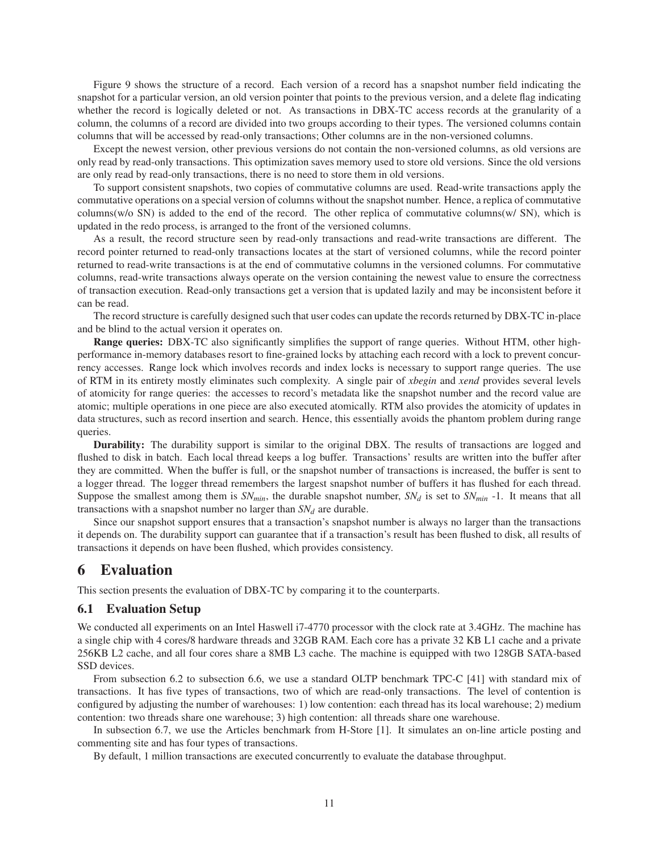Figure 9 shows the structure of a record. Each version of a record has a snapshot number field indicating the snapshot for a particular version, an old version pointer that points to the previous version, and a delete flag indicating whether the record is logically deleted or not. As transactions in DBX-TC access records at the granularity of a column, the columns of a record are divided into two groups according to their types. The versioned columns contain columns that will be accessed by read-only transactions; Other columns are in the non-versioned columns.

Except the newest version, other previous versions do not contain the non-versioned columns, as old versions are only read by read-only transactions. This optimization saves memory used to store old versions. Since the old versions are only read by read-only transactions, there is no need to store them in old versions.

To support consistent snapshots, two copies of commutative columns are used. Read-write transactions apply the commutative operations on a special version of columns without the snapshot number. Hence, a replica of commutative columns(w/o SN) is added to the end of the record. The other replica of commutative columns(w/ SN), which is updated in the redo process, is arranged to the front of the versioned columns.

As a result, the record structure seen by read-only transactions and read-write transactions are different. The record pointer returned to read-only transactions locates at the start of versioned columns, while the record pointer returned to read-write transactions is at the end of commutative columns in the versioned columns. For commutative columns, read-write transactions always operate on the version containing the newest value to ensure the correctness of transaction execution. Read-only transactions get a version that is updated lazily and may be inconsistent before it can be read.

The record structure is carefully designed such that user codes can update the records returned by DBX-TC in-place and be blind to the actual version it operates on.

Range queries: DBX-TC also significantly simplifies the support of range queries. Without HTM, other highperformance in-memory databases resort to fine-grained locks by attaching each record with a lock to prevent concurrency accesses. Range lock which involves records and index locks is necessary to support range queries. The use of RTM in its entirety mostly eliminates such complexity. A single pair of *xbegin* and *xend* provides several levels of atomicity for range queries: the accesses to record's metadata like the snapshot number and the record value are atomic; multiple operations in one piece are also executed atomically. RTM also provides the atomicity of updates in data structures, such as record insertion and search. Hence, this essentially avoids the phantom problem during range queries.

Durability: The durability support is similar to the original DBX. The results of transactions are logged and flushed to disk in batch. Each local thread keeps a log buffer. Transactions' results are written into the buffer after they are committed. When the buffer is full, or the snapshot number of transactions is increased, the buffer is sent to a logger thread. The logger thread remembers the largest snapshot number of buffers it has flushed for each thread. Suppose the smallest among them is  $SN_{min}$ , the durable snapshot number,  $SN_d$  is set to  $SN_{min}$  -1. It means that all transactions with a snapshot number no larger than *SN<sup>d</sup>* are durable.

Since our snapshot support ensures that a transaction's snapshot number is always no larger than the transactions it depends on. The durability support can guarantee that if a transaction's result has been flushed to disk, all results of transactions it depends on have been flushed, which provides consistency.

### 6 Evaluation

This section presents the evaluation of DBX-TC by comparing it to the counterparts.

#### 6.1 Evaluation Setup

We conducted all experiments on an Intel Haswell i7-4770 processor with the clock rate at 3.4GHz. The machine has a single chip with 4 cores/8 hardware threads and 32GB RAM. Each core has a private 32 KB L1 cache and a private 256KB L2 cache, and all four cores share a 8MB L3 cache. The machine is equipped with two 128GB SATA-based SSD devices.

From subsection 6.2 to subsection 6.6, we use a standard OLTP benchmark TPC-C [41] with standard mix of transactions. It has five types of transactions, two of which are read-only transactions. The level of contention is configured by adjusting the number of warehouses: 1) low contention: each thread has its local warehouse; 2) medium contention: two threads share one warehouse; 3) high contention: all threads share one warehouse.

In subsection 6.7, we use the Articles benchmark from H-Store [1]. It simulates an on-line article posting and commenting site and has four types of transactions.

By default, 1 million transactions are executed concurrently to evaluate the database throughput.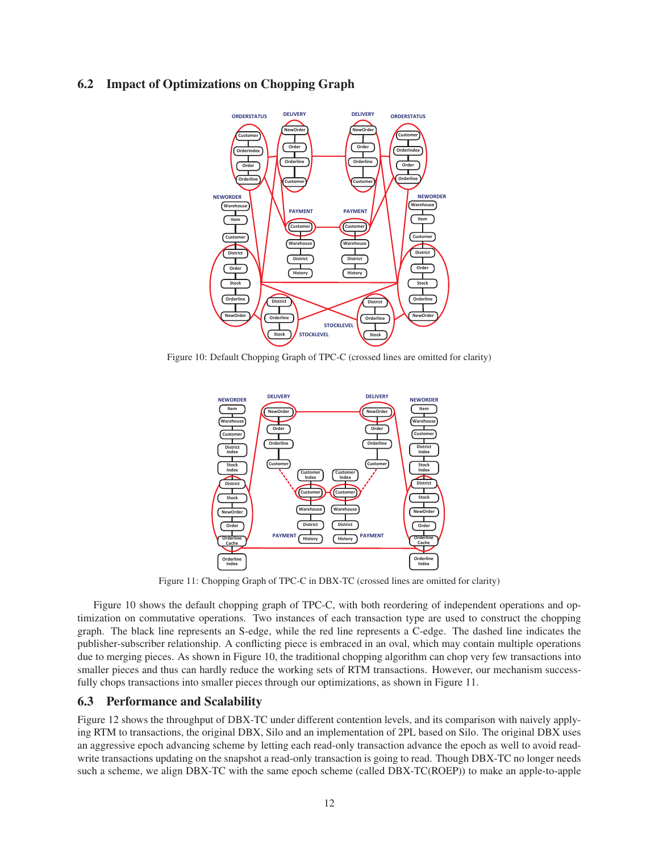### 6.2 Impact of Optimizations on Chopping Graph



Figure 10: Default Chopping Graph of TPC-C (crossed lines are omitted for clarity)



Figure 11: Chopping Graph of TPC-C in DBX-TC (crossed lines are omitted for clarity)

Figure 10 shows the default chopping graph of TPC-C, with both reordering of independent operations and optimization on commutative operations. Two instances of each transaction type are used to construct the chopping graph. The black line represents an S-edge, while the red line represents a C-edge. The dashed line indicates the publisher-subscriber relationship. A conflicting piece is embraced in an oval, which may contain multiple operations due to merging pieces. As shown in Figure 10, the traditional chopping algorithm can chop very few transactions into smaller pieces and thus can hardly reduce the working sets of RTM transactions. However, our mechanism successfully chops transactions into smaller pieces through our optimizations, as shown in Figure 11.

#### 6.3 Performance and Scalability

Figure 12 shows the throughput of DBX-TC under different contention levels, and its comparison with naively applying RTM to transactions, the original DBX, Silo and an implementation of 2PL based on Silo. The original DBX uses an aggressive epoch advancing scheme by letting each read-only transaction advance the epoch as well to avoid readwrite transactions updating on the snapshot a read-only transaction is going to read. Though DBX-TC no longer needs such a scheme, we align DBX-TC with the same epoch scheme (called DBX-TC(ROEP)) to make an apple-to-apple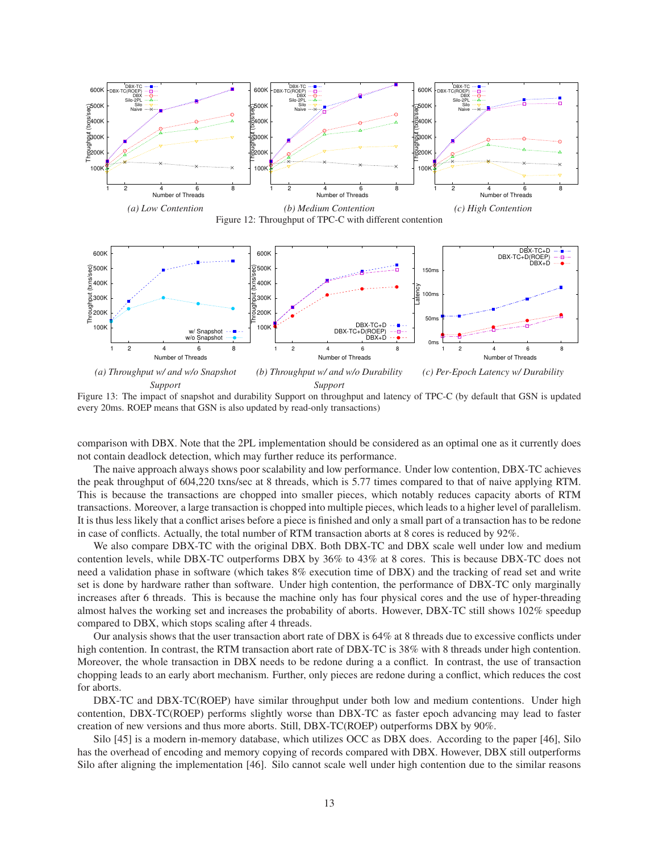

Figure 12: Throughput of TPC-C with different contention



Figure 13: The impact of snapshot and durability Support on throughput and latency of TPC-C (by default that GSN is updated every 20ms. ROEP means that GSN is also updated by read-only transactions)

comparison with DBX. Note that the 2PL implementation should be considered as an optimal one as it currently does not contain deadlock detection, which may further reduce its performance.

The naive approach always shows poor scalability and low performance. Under low contention, DBX-TC achieves the peak throughput of 604,220 txns/sec at 8 threads, which is 5.77 times compared to that of naive applying RTM. This is because the transactions are chopped into smaller pieces, which notably reduces capacity aborts of RTM transactions. Moreover, a large transaction is chopped into multiple pieces, which leads to a higher level of parallelism. It is thus less likely that a conflict arises before a piece is finished and only a small part of a transaction has to be redone in case of conflicts. Actually, the total number of RTM transaction aborts at 8 cores is reduced by 92%.

We also compare DBX-TC with the original DBX. Both DBX-TC and DBX scale well under low and medium contention levels, while DBX-TC outperforms DBX by 36% to 43% at 8 cores. This is because DBX-TC does not need a validation phase in software (which takes 8% execution time of DBX) and the tracking of read set and write set is done by hardware rather than software. Under high contention, the performance of DBX-TC only marginally increases after 6 threads. This is because the machine only has four physical cores and the use of hyper-threading almost halves the working set and increases the probability of aborts. However, DBX-TC still shows 102% speedup compared to DBX, which stops scaling after 4 threads.

Our analysis shows that the user transaction abort rate of DBX is 64% at 8 threads due to excessive conflicts under high contention. In contrast, the RTM transaction abort rate of DBX-TC is 38% with 8 threads under high contention. Moreover, the whole transaction in DBX needs to be redone during a a conflict. In contrast, the use of transaction chopping leads to an early abort mechanism. Further, only pieces are redone during a conflict, which reduces the cost for aborts.

DBX-TC and DBX-TC(ROEP) have similar throughput under both low and medium contentions. Under high contention, DBX-TC(ROEP) performs slightly worse than DBX-TC as faster epoch advancing may lead to faster creation of new versions and thus more aborts. Still, DBX-TC(ROEP) outperforms DBX by 90%.

Silo [45] is a modern in-memory database, which utilizes OCC as DBX does. According to the paper [46], Silo has the overhead of encoding and memory copying of records compared with DBX. However, DBX still outperforms Silo after aligning the implementation [46]. Silo cannot scale well under high contention due to the similar reasons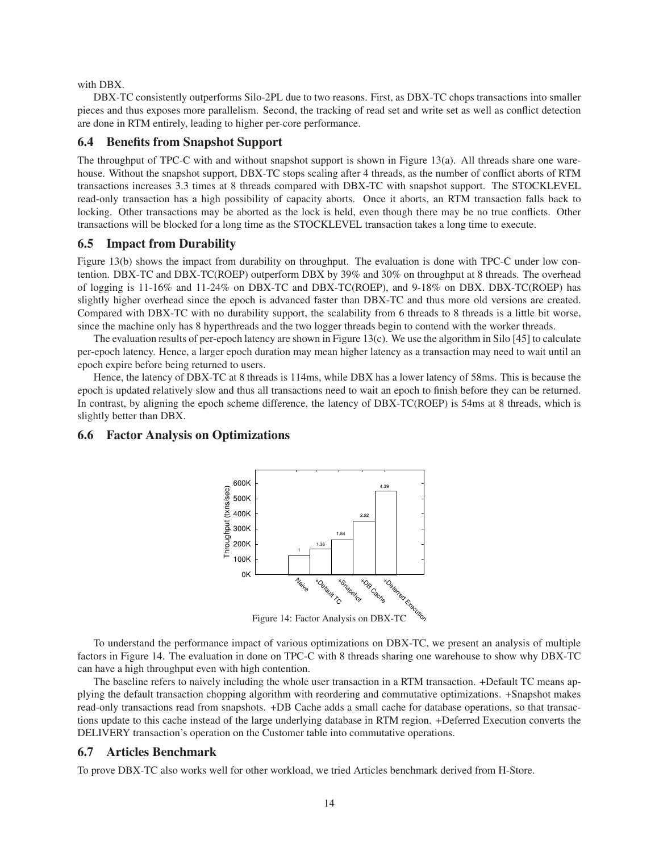with DBX.

DBX-TC consistently outperforms Silo-2PL due to two reasons. First, as DBX-TC chops transactions into smaller pieces and thus exposes more parallelism. Second, the tracking of read set and write set as well as conflict detection are done in RTM entirely, leading to higher per-core performance.

#### 6.4 Benefits from Snapshot Support

The throughput of TPC-C with and without snapshot support is shown in Figure 13(a). All threads share one warehouse. Without the snapshot support, DBX-TC stops scaling after 4 threads, as the number of conflict aborts of RTM transactions increases 3.3 times at 8 threads compared with DBX-TC with snapshot support. The STOCKLEVEL read-only transaction has a high possibility of capacity aborts. Once it aborts, an RTM transaction falls back to locking. Other transactions may be aborted as the lock is held, even though there may be no true conflicts. Other transactions will be blocked for a long time as the STOCKLEVEL transaction takes a long time to execute.

#### 6.5 Impact from Durability

Figure 13(b) shows the impact from durability on throughput. The evaluation is done with TPC-C under low contention. DBX-TC and DBX-TC(ROEP) outperform DBX by 39% and 30% on throughput at 8 threads. The overhead of logging is 11-16% and 11-24% on DBX-TC and DBX-TC(ROEP), and 9-18% on DBX. DBX-TC(ROEP) has slightly higher overhead since the epoch is advanced faster than DBX-TC and thus more old versions are created. Compared with DBX-TC with no durability support, the scalability from 6 threads to 8 threads is a little bit worse, since the machine only has 8 hyperthreads and the two logger threads begin to contend with the worker threads.

The evaluation results of per-epoch latency are shown in Figure 13(c). We use the algorithm in Silo [45] to calculate per-epoch latency. Hence, a larger epoch duration may mean higher latency as a transaction may need to wait until an epoch expire before being returned to users.

Hence, the latency of DBX-TC at 8 threads is 114ms, while DBX has a lower latency of 58ms. This is because the epoch is updated relatively slow and thus all transactions need to wait an epoch to finish before they can be returned. In contrast, by aligning the epoch scheme difference, the latency of DBX-TC(ROEP) is 54ms at 8 threads, which is slightly better than DBX.

#### 6.6 Factor Analysis on Optimizations



Figure 14: Factor Analysis on DBX-TC

To understand the performance impact of various optimizations on DBX-TC, we present an analysis of multiple factors in Figure 14. The evaluation in done on TPC-C with 8 threads sharing one warehouse to show why DBX-TC can have a high throughput even with high contention.

The baseline refers to naively including the whole user transaction in a RTM transaction. +Default TC means applying the default transaction chopping algorithm with reordering and commutative optimizations. +Snapshot makes read-only transactions read from snapshots. +DB Cache adds a small cache for database operations, so that transactions update to this cache instead of the large underlying database in RTM region. +Deferred Execution converts the DELIVERY transaction's operation on the Customer table into commutative operations.

#### 6.7 Articles Benchmark

To prove DBX-TC also works well for other workload, we tried Articles benchmark derived from H-Store.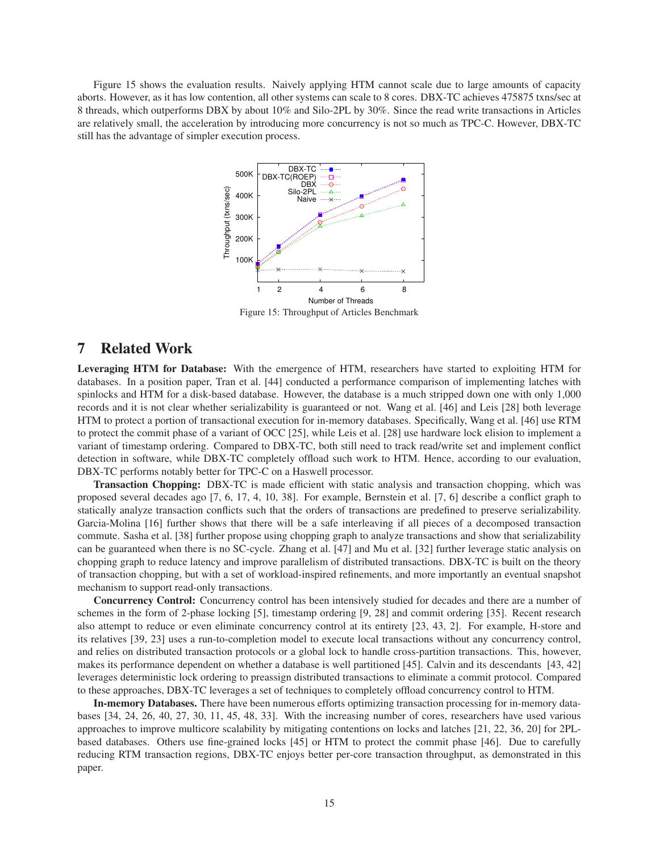Figure 15 shows the evaluation results. Naively applying HTM cannot scale due to large amounts of capacity aborts. However, as it has low contention, all other systems can scale to 8 cores. DBX-TC achieves 475875 txns/sec at 8 threads, which outperforms DBX by about 10% and Silo-2PL by 30%. Since the read write transactions in Articles are relatively small, the acceleration by introducing more concurrency is not so much as TPC-C. However, DBX-TC still has the advantage of simpler execution process.



Figure 15: Throughput of Articles Benchmark

### 7 Related Work

Leveraging HTM for Database: With the emergence of HTM, researchers have started to exploiting HTM for databases. In a position paper, Tran et al. [44] conducted a performance comparison of implementing latches with spinlocks and HTM for a disk-based database. However, the database is a much stripped down one with only 1,000 records and it is not clear whether serializability is guaranteed or not. Wang et al. [46] and Leis [28] both leverage HTM to protect a portion of transactional execution for in-memory databases. Specifically, Wang et al. [46] use RTM to protect the commit phase of a variant of OCC [25], while Leis et al. [28] use hardware lock elision to implement a variant of timestamp ordering. Compared to DBX-TC, both still need to track read/write set and implement conflict detection in software, while DBX-TC completely offload such work to HTM. Hence, according to our evaluation, DBX-TC performs notably better for TPC-C on a Haswell processor.

Transaction Chopping: DBX-TC is made efficient with static analysis and transaction chopping, which was proposed several decades ago [7, 6, 17, 4, 10, 38]. For example, Bernstein et al. [7, 6] describe a conflict graph to statically analyze transaction conflicts such that the orders of transactions are predefined to preserve serializability. Garcia-Molina [16] further shows that there will be a safe interleaving if all pieces of a decomposed transaction commute. Sasha et al. [38] further propose using chopping graph to analyze transactions and show that serializability can be guaranteed when there is no SC-cycle. Zhang et al. [47] and Mu et al. [32] further leverage static analysis on chopping graph to reduce latency and improve parallelism of distributed transactions. DBX-TC is built on the theory of transaction chopping, but with a set of workload-inspired refinements, and more importantly an eventual snapshot mechanism to support read-only transactions.

Concurrency Control: Concurrency control has been intensively studied for decades and there are a number of schemes in the form of 2-phase locking [5], timestamp ordering [9, 28] and commit ordering [35]. Recent research also attempt to reduce or even eliminate concurrency control at its entirety [23, 43, 2]. For example, H-store and its relatives [39, 23] uses a run-to-completion model to execute local transactions without any concurrency control, and relies on distributed transaction protocols or a global lock to handle cross-partition transactions. This, however, makes its performance dependent on whether a database is well partitioned [45]. Calvin and its descendants [43, 42] leverages deterministic lock ordering to preassign distributed transactions to eliminate a commit protocol. Compared to these approaches, DBX-TC leverages a set of techniques to completely offload concurrency control to HTM.

In-memory Databases. There have been numerous efforts optimizing transaction processing for in-memory databases [34, 24, 26, 40, 27, 30, 11, 45, 48, 33]. With the increasing number of cores, researchers have used various approaches to improve multicore scalability by mitigating contentions on locks and latches [21, 22, 36, 20] for 2PLbased databases. Others use fine-grained locks [45] or HTM to protect the commit phase [46]. Due to carefully reducing RTM transaction regions, DBX-TC enjoys better per-core transaction throughput, as demonstrated in this paper.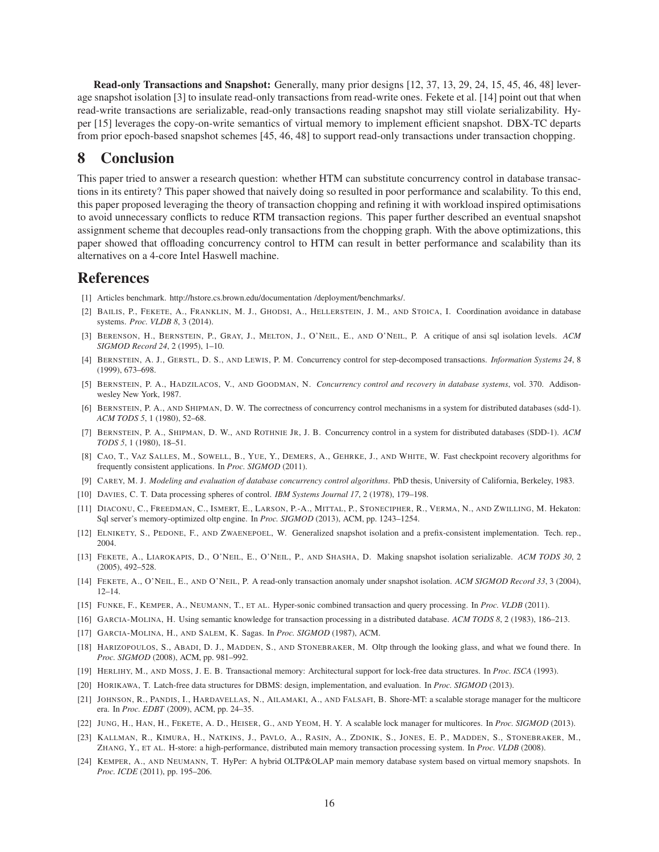Read-only Transactions and Snapshot: Generally, many prior designs [12, 37, 13, 29, 24, 15, 45, 46, 48] leverage snapshot isolation [3] to insulate read-only transactions from read-write ones. Fekete et al. [14] point out that when read-write transactions are serializable, read-only transactions reading snapshot may still violate serializability. Hyper [15] leverages the copy-on-write semantics of virtual memory to implement efficient snapshot. DBX-TC departs from prior epoch-based snapshot schemes [45, 46, 48] to support read-only transactions under transaction chopping.

# 8 Conclusion

This paper tried to answer a research question: whether HTM can substitute concurrency control in database transactions in its entirety? This paper showed that naively doing so resulted in poor performance and scalability. To this end, this paper proposed leveraging the theory of transaction chopping and refining it with workload inspired optimisations to avoid unnecessary conflicts to reduce RTM transaction regions. This paper further described an eventual snapshot assignment scheme that decouples read-only transactions from the chopping graph. With the above optimizations, this paper showed that offloading concurrency control to HTM can result in better performance and scalability than its alternatives on a 4-core Intel Haswell machine.

# References

- [1] Articles benchmark. http://hstore.cs.brown.edu/documentation /deployment/benchmarks/.
- [2] BAILIS, P., FEKETE, A., FRANKLIN, M. J., GHODSI, A., HELLERSTEIN, J. M., AND STOICA, I. Coordination avoidance in database systems. *Proc. VLDB 8*, 3 (2014).
- [3] BERENSON, H., BERNSTEIN, P., GRAY, J., MELTON, J., O'NEIL, E., AND O'NEIL, P. A critique of ansi sql isolation levels. *ACM SIGMOD Record 24*, 2 (1995), 1–10.
- [4] BERNSTEIN, A. J., GERSTL, D. S., AND LEWIS, P. M. Concurrency control for step-decomposed transactions. *Information Systems 24*, 8 (1999), 673–698.
- [5] BERNSTEIN, P. A., HADZILACOS, V., AND GOODMAN, N. *Concurrency control and recovery in database systems*, vol. 370. Addisonwesley New York, 1987.
- [6] BERNSTEIN, P. A., AND SHIPMAN, D. W. The correctness of concurrency control mechanisms in a system for distributed databases (sdd-1). *ACM TODS 5*, 1 (1980), 52–68.
- [7] BERNSTEIN, P. A., SHIPMAN, D. W., AND ROTHNIE JR, J. B. Concurrency control in a system for distributed databases (SDD-1). *ACM TODS 5*, 1 (1980), 18–51.
- [8] CAO, T., VAZ SALLES, M., SOWELL, B., YUE, Y., DEMERS, A., GEHRKE, J., AND WHITE, W. Fast checkpoint recovery algorithms for frequently consistent applications. In *Proc. SIGMOD* (2011).
- [9] CAREY, M. J. *Modeling and evaluation of database concurrency control algorithms*. PhD thesis, University of California, Berkeley, 1983.
- [10] DAVIES, C. T. Data processing spheres of control. *IBM Systems Journal 17*, 2 (1978), 179–198.
- [11] DIACONU, C., FREEDMAN, C., ISMERT, E., LARSON, P.-A., MITTAL, P., STONECIPHER, R., VERMA, N., AND ZWILLING, M. Hekaton: Sql server's memory-optimized oltp engine. In *Proc. SIGMOD* (2013), ACM, pp. 1243–1254.
- [12] ELNIKETY, S., PEDONE, F., AND ZWAENEPOEL, W. Generalized snapshot isolation and a prefix-consistent implementation. Tech. rep., 2004.
- [13] FEKETE, A., LIAROKAPIS, D., O'NEIL, E., O'NEIL, P., AND SHASHA, D. Making snapshot isolation serializable. *ACM TODS 30*, 2 (2005), 492–528.
- [14] FEKETE, A., O'NEIL, E., AND O'NEIL, P. A read-only transaction anomaly under snapshot isolation. *ACM SIGMOD Record 33*, 3 (2004),  $12 - 14$
- [15] FUNKE, F., KEMPER, A., NEUMANN, T., ET AL. Hyper-sonic combined transaction and query processing. In *Proc. VLDB* (2011).
- [16] GARCIA-MOLINA, H. Using semantic knowledge for transaction processing in a distributed database. *ACM TODS 8*, 2 (1983), 186–213.
- [17] GARCIA-MOLINA, H., AND SALEM, K. Sagas. In *Proc. SIGMOD* (1987), ACM.
- [18] HARIZOPOULOS, S., ABADI, D. J., MADDEN, S., AND STONEBRAKER, M. Oltp through the looking glass, and what we found there. In *Proc. SIGMOD* (2008), ACM, pp. 981–992.
- [19] HERLIHY, M., AND MOSS, J. E. B. Transactional memory: Architectural support for lock-free data structures. In *Proc. ISCA* (1993).
- [20] HORIKAWA, T. Latch-free data structures for DBMS: design, implementation, and evaluation. In *Proc. SIGMOD* (2013).
- [21] JOHNSON, R., PANDIS, I., HARDAVELLAS, N., AILAMAKI, A., AND FALSAFI, B. Shore-MT: a scalable storage manager for the multicore era. In *Proc. EDBT* (2009), ACM, pp. 24–35.
- [22] JUNG, H., HAN, H., FEKETE, A. D., HEISER, G., AND YEOM, H. Y. A scalable lock manager for multicores. In *Proc. SIGMOD* (2013).
- [23] KALLMAN, R., KIMURA, H., NATKINS, J., PAVLO, A., RASIN, A., ZDONIK, S., JONES, E. P., MADDEN, S., STONEBRAKER, M., ZHANG, Y., ET AL. H-store: a high-performance, distributed main memory transaction processing system. In *Proc. VLDB* (2008).
- [24] KEMPER, A., AND NEUMANN, T. HyPer: A hybrid OLTP&OLAP main memory database system based on virtual memory snapshots. In *Proc. ICDE* (2011), pp. 195–206.